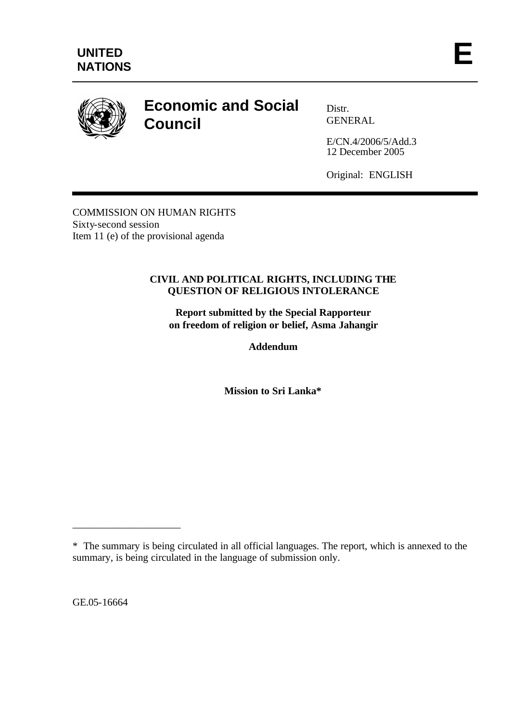

# **Economic and Social Council**

Distr. GENERAL

E/CN.4/2006/5/Add.3 12 December 2005

Original: ENGLISH

COMMISSION ON HUMAN RIGHTS Sixty-second session Item 11 (e) of the provisional agenda

## **CIVIL AND POLITICAL RIGHTS, INCLUDING THE QUESTION OF RELIGIOUS INTOLERANCE**

**Report submitted by the Special Rapporteur on freedom of religion or belief, Asma Jahangir**

**Addendum**

**Mission to Sri Lanka\***

GE.05-16664

\_\_\_\_\_\_\_\_\_\_\_\_\_\_\_\_\_\_\_\_\_

<sup>\*</sup> The summary is being circulated in all official languages. The report, which is annexed to the summary, is being circulated in the language of submission only.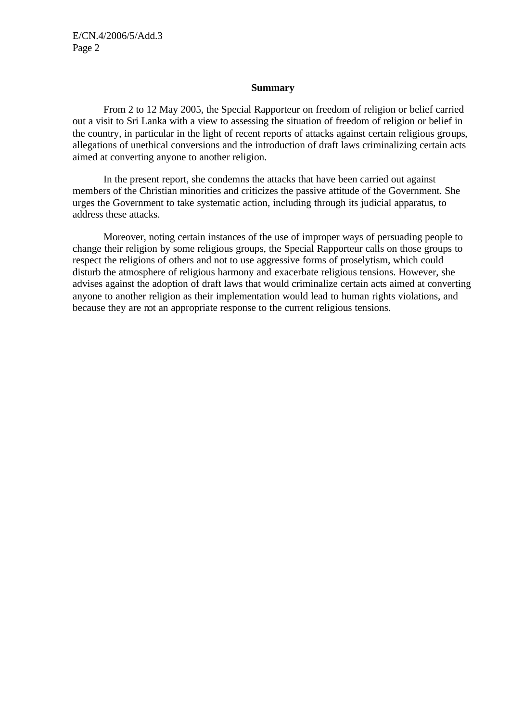#### **Summary**

From 2 to 12 May 2005, the Special Rapporteur on freedom of religion or belief carried out a visit to Sri Lanka with a view to assessing the situation of freedom of religion or belief in the country, in particular in the light of recent reports of attacks against certain religious groups, allegations of unethical conversions and the introduction of draft laws criminalizing certain acts aimed at converting anyone to another religion.

In the present report, she condemns the attacks that have been carried out against members of the Christian minorities and criticizes the passive attitude of the Government. She urges the Government to take systematic action, including through its judicial apparatus, to address these attacks.

Moreover, noting certain instances of the use of improper ways of persuading people to change their religion by some religious groups, the Special Rapporteur calls on those groups to respect the religions of others and not to use aggressive forms of proselytism, which could disturb the atmosphere of religious harmony and exacerbate religious tensions. However, she advises against the adoption of draft laws that would criminalize certain acts aimed at converting anyone to another religion as their implementation would lead to human rights violations, and because they are not an appropriate response to the current religious tensions.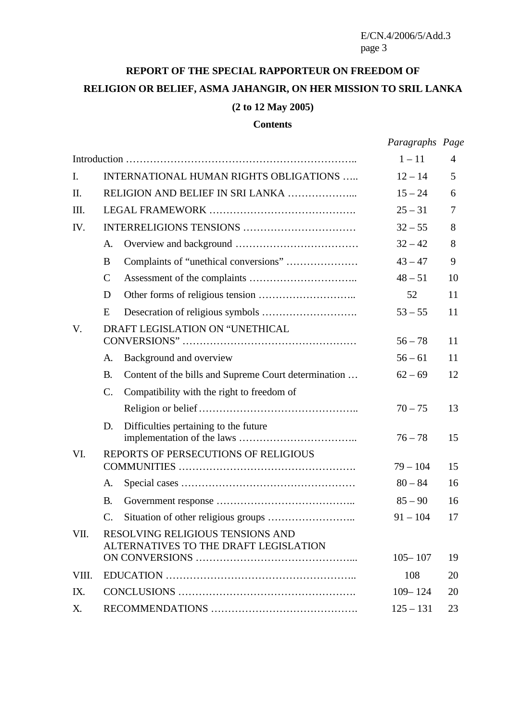## **REPORT OF THE SPECIAL RAPPORTEUR ON FREEDOM OF RELIGION OR BELIEF, ASMA JAHANGIR, ON HER MISSION TO SRIL LANKA (2 to 12 May 2005)**

#### **Contents**

|       |                                        |                                                                           | Paragraphs Page |    |
|-------|----------------------------------------|---------------------------------------------------------------------------|-----------------|----|
|       |                                        |                                                                           | $1 - 11$        | 4  |
| I.    | INTERNATIONAL HUMAN RIGHTS OBLIGATIONS |                                                                           | $12 - 14$       | 5  |
| II.   | RELIGION AND BELIEF IN SRI LANKA       |                                                                           | $15 - 24$       | 6  |
| III.  |                                        |                                                                           | $25 - 31$       | 7  |
| IV.   |                                        |                                                                           | $32 - 55$       | 8  |
|       | A.                                     |                                                                           | $32 - 42$       | 8  |
|       | B                                      | Complaints of "unethical conversions"                                     | $43 - 47$       | 9  |
|       | $\mathsf{C}$                           |                                                                           | $48 - 51$       | 10 |
|       | D                                      |                                                                           | 52              | 11 |
|       | E                                      |                                                                           | $53 - 55$       | 11 |
| V.    | DRAFT LEGISLATION ON "UNETHICAL        |                                                                           | $56 - 78$       | 11 |
|       | A.                                     | Background and overview                                                   | $56 - 61$       | 11 |
|       | <b>B.</b>                              | Content of the bills and Supreme Court determination                      | $62 - 69$       | 12 |
|       | C.                                     | Compatibility with the right to freedom of                                |                 |    |
|       |                                        |                                                                           | $70 - 75$       | 13 |
|       | D.                                     | Difficulties pertaining to the future                                     | $76 - 78$       | 15 |
| VI.   | REPORTS OF PERSECUTIONS OF RELIGIOUS   |                                                                           |                 |    |
|       |                                        |                                                                           | $79 - 104$      | 15 |
|       | A.                                     |                                                                           | $80 - 84$       | 16 |
|       | <b>B.</b>                              |                                                                           | $85 - 90$       | 16 |
|       | C.                                     |                                                                           | $91 - 104$      | 17 |
| VII.  |                                        | RESOLVING RELIGIOUS TENSIONS AND<br>ALTERNATIVES TO THE DRAFT LEGISLATION |                 |    |
|       |                                        |                                                                           | $105 - 107$     | 19 |
| VIII. |                                        |                                                                           | 108             | 20 |
| IX.   |                                        |                                                                           | $109 - 124$     | 20 |
| X.    |                                        |                                                                           | $125 - 131$     | 23 |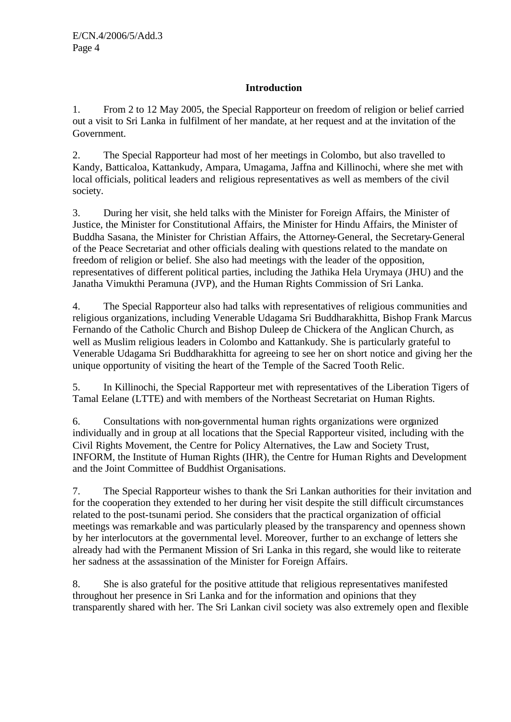## **Introduction**

1. From 2 to 12 May 2005, the Special Rapporteur on freedom of religion or belief carried out a visit to Sri Lanka in fulfilment of her mandate, at her request and at the invitation of the Government.

2. The Special Rapporteur had most of her meetings in Colombo, but also travelled to Kandy, Batticaloa, Kattankudy, Ampara, Umagama, Jaffna and Killinochi, where she met with local officials, political leaders and religious representatives as well as members of the civil society.

3. During her visit, she held talks with the Minister for Foreign Affairs, the Minister of Justice, the Minister for Constitutional Affairs, the Minister for Hindu Affairs, the Minister of Buddha Sasana, the Minister for Christian Affairs, the Attorney-General, the Secretary-General of the Peace Secretariat and other officials dealing with questions related to the mandate on freedom of religion or belief. She also had meetings with the leader of the opposition, representatives of different political parties, including the Jathika Hela Urymaya (JHU) and the Janatha Vimukthi Peramuna (JVP), and the Human Rights Commission of Sri Lanka.

4. The Special Rapporteur also had talks with representatives of religious communities and religious organizations, including Venerable Udagama Sri Buddharakhitta, Bishop Frank Marcus Fernando of the Catholic Church and Bishop Duleep de Chickera of the Anglican Church, as well as Muslim religious leaders in Colombo and Kattankudy. She is particularly grateful to Venerable Udagama Sri Buddharakhitta for agreeing to see her on short notice and giving her the unique opportunity of visiting the heart of the Temple of the Sacred Tooth Relic.

5. In Killinochi, the Special Rapporteur met with representatives of the Liberation Tigers of Tamal Eelane (LTTE) and with members of the Northeast Secretariat on Human Rights.

6. Consultations with non-governmental human rights organizations were organized individually and in group at all locations that the Special Rapporteur visited, including with the Civil Rights Movement, the Centre for Policy Alternatives, the Law and Society Trust, INFORM, the Institute of Human Rights (IHR), the Centre for Human Rights and Development and the Joint Committee of Buddhist Organisations.

7. The Special Rapporteur wishes to thank the Sri Lankan authorities for their invitation and for the cooperation they extended to her during her visit despite the still difficult circumstances related to the post-tsunami period. She considers that the practical organization of official meetings was remarkable and was particularly pleased by the transparency and openness shown by her interlocutors at the governmental level. Moreover, further to an exchange of letters she already had with the Permanent Mission of Sri Lanka in this regard, she would like to reiterate her sadness at the assassination of the Minister for Foreign Affairs.

8. She is also grateful for the positive attitude that religious representatives manifested throughout her presence in Sri Lanka and for the information and opinions that they transparently shared with her. The Sri Lankan civil society was also extremely open and flexible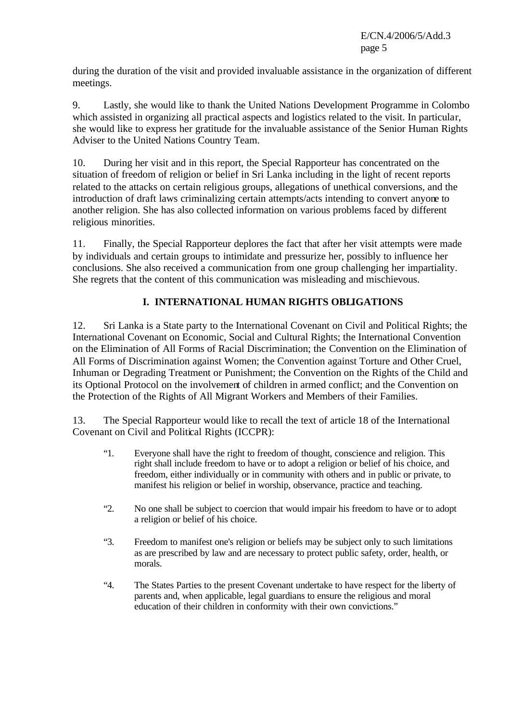during the duration of the visit and provided invaluable assistance in the organization of different meetings.

9. Lastly, she would like to thank the United Nations Development Programme in Colombo which assisted in organizing all practical aspects and logistics related to the visit. In particular, she would like to express her gratitude for the invaluable assistance of the Senior Human Rights Adviser to the United Nations Country Team.

10. During her visit and in this report, the Special Rapporteur has concentrated on the situation of freedom of religion or belief in Sri Lanka including in the light of recent reports related to the attacks on certain religious groups, allegations of unethical conversions, and the introduction of draft laws criminalizing certain attempts/acts intending to convert anyone to another religion. She has also collected information on various problems faced by different religious minorities.

11. Finally, the Special Rapporteur deplores the fact that after her visit attempts were made by individuals and certain groups to intimidate and pressurize her, possibly to influence her conclusions. She also received a communication from one group challenging her impartiality. She regrets that the content of this communication was misleading and mischievous.

## **I. INTERNATIONAL HUMAN RIGHTS OBLIGATIONS**

12. Sri Lanka is a State party to the International Covenant on Civil and Political Rights; the International Covenant on Economic, Social and Cultural Rights; the International Convention on the Elimination of All Forms of Racial Discrimination; the Convention on the Elimination of All Forms of Discrimination against Women; the Convention against Torture and Other Cruel, Inhuman or Degrading Treatment or Punishment; the Convention on the Rights of the Child and its Optional Protocol on the involvement of children in armed conflict; and the Convention on the Protection of the Rights of All Migrant Workers and Members of their Families.

13. The Special Rapporteur would like to recall the text of article 18 of the International Covenant on Civil and Political Rights (ICCPR):

- "1. Everyone shall have the right to freedom of thought, conscience and religion. This right shall include freedom to have or to adopt a religion or belief of his choice, and freedom, either individually or in community with others and in public or private, to manifest his religion or belief in worship, observance, practice and teaching.
- "2. No one shall be subject to coercion that would impair his freedom to have or to adopt a religion or belief of his choice.
- "3. Freedom to manifest one's religion or beliefs may be subject only to such limitations as are prescribed by law and are necessary to protect public safety, order, health, or morals.
- "4. The States Parties to the present Covenant undertake to have respect for the liberty of parents and, when applicable, legal guardians to ensure the religious and moral education of their children in conformity with their own convictions."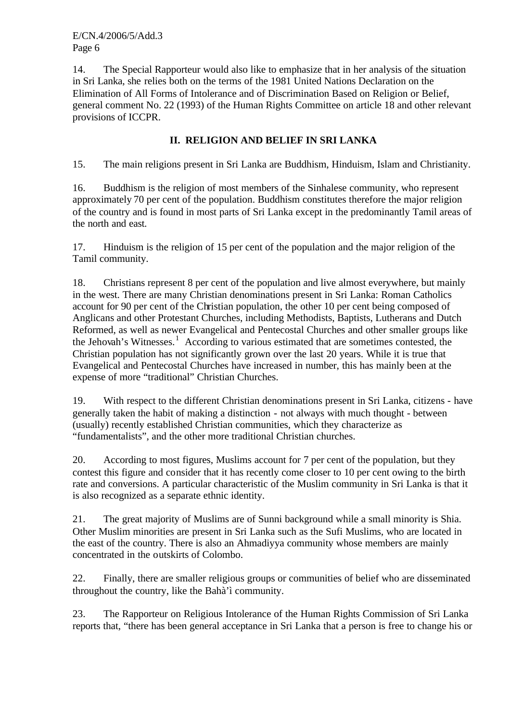14. The Special Rapporteur would also like to emphasize that in her analysis of the situation in Sri Lanka, she relies both on the terms of the 1981 United Nations Declaration on the Elimination of All Forms of Intolerance and of Discrimination Based on Religion or Belief, general comment No. 22 (1993) of the Human Rights Committee on article 18 and other relevant provisions of ICCPR.

## **II. RELIGION AND BELIEF IN SRI LANKA**

15. The main religions present in Sri Lanka are Buddhism, Hinduism, Islam and Christianity.

16. Buddhism is the religion of most members of the Sinhalese community, who represent approximately 70 per cent of the population. Buddhism constitutes therefore the major religion of the country and is found in most parts of Sri Lanka except in the predominantly Tamil areas of the north and east.

17. Hinduism is the religion of 15 per cent of the population and the major religion of the Tamil community.

18. Christians represent 8 per cent of the population and live almost everywhere, but mainly in the west. There are many Christian denominations present in Sri Lanka: Roman Catholics account for 90 per cent of the Christian population, the other 10 per cent being composed of Anglicans and other Protestant Churches, including Methodists, Baptists, Lutherans and Dutch Reformed, as well as newer Evangelical and Pentecostal Churches and other smaller groups like the Jehovah's Witnesses.<sup>1</sup> According to various estimated that are sometimes contested, the Christian population has not significantly grown over the last 20 years. While it is true that Evangelical and Pentecostal Churches have increased in number, this has mainly been at the expense of more "traditional" Christian Churches.

19. With respect to the different Christian denominations present in Sri Lanka, citizens - have generally taken the habit of making a distinction - not always with much thought - between (usually) recently established Christian communities, which they characterize as "fundamentalists", and the other more traditional Christian churches.

20. According to most figures, Muslims account for 7 per cent of the population, but they contest this figure and consider that it has recently come closer to 10 per cent owing to the birth rate and conversions. A particular characteristic of the Muslim community in Sri Lanka is that it is also recognized as a separate ethnic identity.

21. The great majority of Muslims are of Sunni background while a small minority is Shia. Other Muslim minorities are present in Sri Lanka such as the Sufi Muslims, who are located in the east of the country. There is also an Ahmadiyya community whose members are mainly concentrated in the outskirts of Colombo.

22. Finally, there are smaller religious groups or communities of belief who are disseminated throughout the country, like the Bahà'ì community.

23. The Rapporteur on Religious Intolerance of the Human Rights Commission of Sri Lanka reports that, "there has been general acceptance in Sri Lanka that a person is free to change his or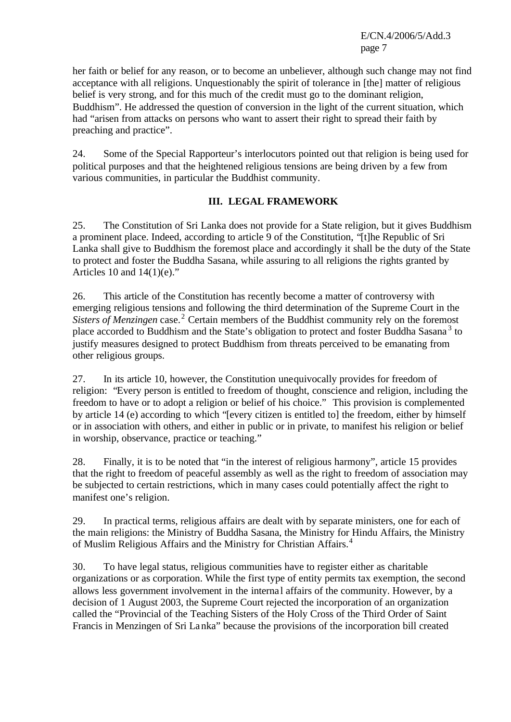her faith or belief for any reason, or to become an unbeliever, although such change may not find acceptance with all religions. Unquestionably the spirit of tolerance in [the] matter of religious belief is very strong, and for this much of the credit must go to the dominant religion, Buddhism". He addressed the question of conversion in the light of the current situation, which had "arisen from attacks on persons who want to assert their right to spread their faith by preaching and practice".

24. Some of the Special Rapporteur's interlocutors pointed out that religion is being used for political purposes and that the heightened religious tensions are being driven by a few from various communities, in particular the Buddhist community.

## **III. LEGAL FRAMEWORK**

25. The Constitution of Sri Lanka does not provide for a State religion, but it gives Buddhism a prominent place. Indeed, according to article 9 of the Constitution, "[t]he Republic of Sri Lanka shall give to Buddhism the foremost place and accordingly it shall be the duty of the State to protect and foster the Buddha Sasana, while assuring to all religions the rights granted by Articles 10 and  $14(1)(e)$ ."

26. This article of the Constitution has recently become a matter of controversy with emerging religious tensions and following the third determination of the Supreme Court in the Sisters of Menzingen case.<sup>2</sup> Certain members of the Buddhist community rely on the foremost place accorded to Buddhism and the State's obligation to protect and foster Buddha Sasana<sup>3</sup> to justify measures designed to protect Buddhism from threats perceived to be emanating from other religious groups.

27. In its article 10, however, the Constitution unequivocally provides for freedom of religion: "Every person is entitled to freedom of thought, conscience and religion, including the freedom to have or to adopt a religion or belief of his choice." This provision is complemented by article 14 (e) according to which "[every citizen is entitled to] the freedom, either by himself or in association with others, and either in public or in private, to manifest his religion or belief in worship, observance, practice or teaching."

28. Finally, it is to be noted that "in the interest of religious harmony", article 15 provides that the right to freedom of peaceful assembly as well as the right to freedom of association may be subjected to certain restrictions, which in many cases could potentially affect the right to manifest one's religion.

29. In practical terms, religious affairs are dealt with by separate ministers, one for each of the main religions: the Ministry of Buddha Sasana, the Ministry for Hindu Affairs, the Ministry of Muslim Religious Affairs and the Ministry for Christian Affairs.<sup>4</sup>

30. To have legal status, religious communities have to register either as charitable organizations or as corporation. While the first type of entity permits tax exemption, the second allows less government involvement in the internal affairs of the community. However, by a decision of 1 August 2003, the Supreme Court rejected the incorporation of an organization called the "Provincial of the Teaching Sisters of the Holy Cross of the Third Order of Saint Francis in Menzingen of Sri Lanka" because the provisions of the incorporation bill created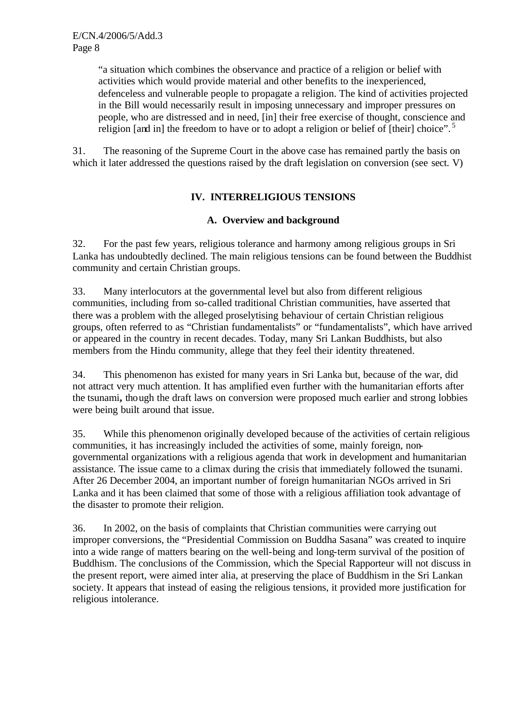"a situation which combines the observance and practice of a religion or belief with activities which would provide material and other benefits to the inexperienced, defenceless and vulnerable people to propagate a religion. The kind of activities projected in the Bill would necessarily result in imposing unnecessary and improper pressures on people, who are distressed and in need, [in] their free exercise of thought, conscience and religion [and in] the freedom to have or to adopt a religion or belief of [their] choice".<sup>5</sup>

31. The reasoning of the Supreme Court in the above case has remained partly the basis on which it later addressed the questions raised by the draft legislation on conversion (see sect. V)

## **IV. INTERRELIGIOUS TENSIONS**

## **A. Overview and background**

32. For the past few years, religious tolerance and harmony among religious groups in Sri Lanka has undoubtedly declined. The main religious tensions can be found between the Buddhist community and certain Christian groups.

33. Many interlocutors at the governmental level but also from different religious communities, including from so-called traditional Christian communities, have asserted that there was a problem with the alleged proselytising behaviour of certain Christian religious groups, often referred to as "Christian fundamentalists" or "fundamentalists", which have arrived or appeared in the country in recent decades. Today, many Sri Lankan Buddhists, but also members from the Hindu community, allege that they feel their identity threatened.

34. This phenomenon has existed for many years in Sri Lanka but, because of the war, did not attract very much attention. It has amplified even further with the humanitarian efforts after the tsunami**,** though the draft laws on conversion were proposed much earlier and strong lobbies were being built around that issue.

35. While this phenomenon originally developed because of the activities of certain religious communities, it has increasingly included the activities of some, mainly foreign, nongovernmental organizations with a religious agenda that work in development and humanitarian assistance. The issue came to a climax during the crisis that immediately followed the tsunami. After 26 December 2004, an important number of foreign humanitarian NGOs arrived in Sri Lanka and it has been claimed that some of those with a religious affiliation took advantage of the disaster to promote their religion.

36. In 2002, on the basis of complaints that Christian communities were carrying out improper conversions, the "Presidential Commission on Buddha Sasana" was created to inquire into a wide range of matters bearing on the well-being and long-term survival of the position of Buddhism. The conclusions of the Commission, which the Special Rapporteur will not discuss in the present report, were aimed inter alia, at preserving the place of Buddhism in the Sri Lankan society. It appears that instead of easing the religious tensions, it provided more justification for religious intolerance.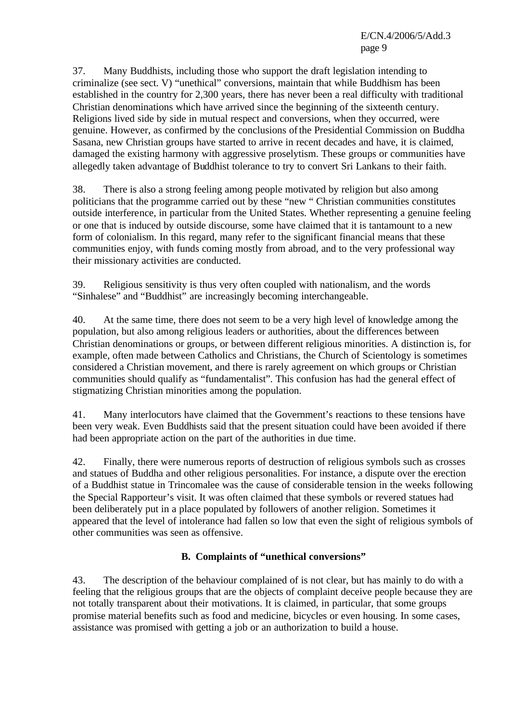37. Many Buddhists, including those who support the draft legislation intending to criminalize (see sect. V) "unethical" conversions, maintain that while Buddhism has been established in the country for 2,300 years, there has never been a real difficulty with traditional Christian denominations which have arrived since the beginning of the sixteenth century. Religions lived side by side in mutual respect and conversions, when they occurred, were genuine. However, as confirmed by the conclusions of the Presidential Commission on Buddha Sasana, new Christian groups have started to arrive in recent decades and have, it is claimed, damaged the existing harmony with aggressive proselytism. These groups or communities have allegedly taken advantage of Buddhist tolerance to try to convert Sri Lankans to their faith.

38. There is also a strong feeling among people motivated by religion but also among politicians that the programme carried out by these "new " Christian communities constitutes outside interference, in particular from the United States. Whether representing a genuine feeling or one that is induced by outside discourse, some have claimed that it is tantamount to a new form of colonialism. In this regard, many refer to the significant financial means that these communities enjoy, with funds coming mostly from abroad, and to the very professional way their missionary activities are conducted.

39. Religious sensitivity is thus very often coupled with nationalism, and the words "Sinhalese" and "Buddhist" are increasingly becoming interchangeable.

40. At the same time, there does not seem to be a very high level of knowledge among the population, but also among religious leaders or authorities, about the differences between Christian denominations or groups, or between different religious minorities. A distinction is, for example, often made between Catholics and Christians, the Church of Scientology is sometimes considered a Christian movement, and there is rarely agreement on which groups or Christian communities should qualify as "fundamentalist". This confusion has had the general effect of stigmatizing Christian minorities among the population.

41. Many interlocutors have claimed that the Government's reactions to these tensions have been very weak. Even Buddhists said that the present situation could have been avoided if there had been appropriate action on the part of the authorities in due time.

42. Finally, there were numerous reports of destruction of religious symbols such as crosses and statues of Buddha and other religious personalities. For instance, a dispute over the erection of a Buddhist statue in Trincomalee was the cause of considerable tension in the weeks following the Special Rapporteur's visit. It was often claimed that these symbols or revered statues had been deliberately put in a place populated by followers of another religion. Sometimes it appeared that the level of intolerance had fallen so low that even the sight of religious symbols of other communities was seen as offensive.

## **B. Complaints of "unethical conversions"**

43. The description of the behaviour complained of is not clear, but has mainly to do with a feeling that the religious groups that are the objects of complaint deceive people because they are not totally transparent about their motivations. It is claimed, in particular, that some groups promise material benefits such as food and medicine, bicycles or even housing. In some cases, assistance was promised with getting a job or an authorization to build a house.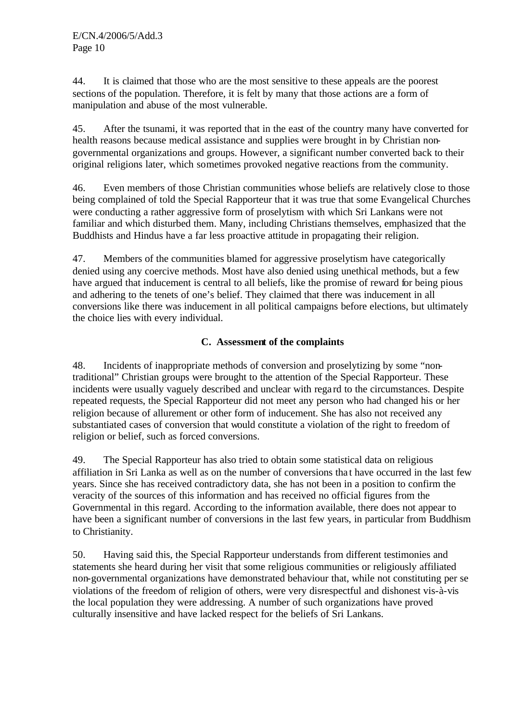44. It is claimed that those who are the most sensitive to these appeals are the poorest sections of the population. Therefore, it is felt by many that those actions are a form of manipulation and abuse of the most vulnerable.

45. After the tsunami, it was reported that in the east of the country many have converted for health reasons because medical assistance and supplies were brought in by Christian nongovernmental organizations and groups. However, a significant number converted back to their original religions later, which sometimes provoked negative reactions from the community.

46. Even members of those Christian communities whose beliefs are relatively close to those being complained of told the Special Rapporteur that it was true that some Evangelical Churches were conducting a rather aggressive form of proselytism with which Sri Lankans were not familiar and which disturbed them. Many, including Christians themselves, emphasized that the Buddhists and Hindus have a far less proactive attitude in propagating their religion.

47. Members of the communities blamed for aggressive proselytism have categorically denied using any coercive methods. Most have also denied using unethical methods, but a few have argued that inducement is central to all beliefs, like the promise of reward for being pious and adhering to the tenets of one's belief. They claimed that there was inducement in all conversions like there was inducement in all political campaigns before elections, but ultimately the choice lies with every individual.

## **C. Assessment of the complaints**

48. Incidents of inappropriate methods of conversion and proselytizing by some "nontraditional" Christian groups were brought to the attention of the Special Rapporteur. These incidents were usually vaguely described and unclear with rega rd to the circumstances. Despite repeated requests, the Special Rapporteur did not meet any person who had changed his or her religion because of allurement or other form of inducement. She has also not received any substantiated cases of conversion that would constitute a violation of the right to freedom of religion or belief, such as forced conversions.

49. The Special Rapporteur has also tried to obtain some statistical data on religious affiliation in Sri Lanka as well as on the number of conversions tha t have occurred in the last few years. Since she has received contradictory data, she has not been in a position to confirm the veracity of the sources of this information and has received no official figures from the Governmental in this regard. According to the information available, there does not appear to have been a significant number of conversions in the last few years, in particular from Buddhism to Christianity.

50. Having said this, the Special Rapporteur understands from different testimonies and statements she heard during her visit that some religious communities or religiously affiliated non-governmental organizations have demonstrated behaviour that, while not constituting per se violations of the freedom of religion of others, were very disrespectful and dishonest vis-à-vis the local population they were addressing. A number of such organizations have proved culturally insensitive and have lacked respect for the beliefs of Sri Lankans.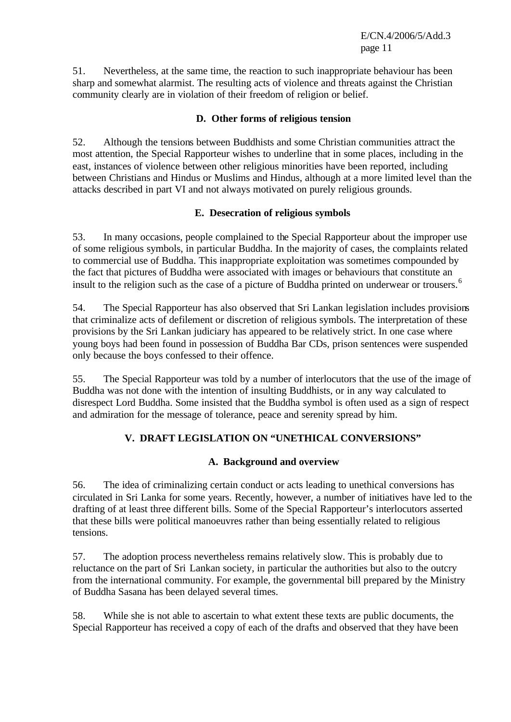51. Nevertheless, at the same time, the reaction to such inappropriate behaviour has been sharp and somewhat alarmist. The resulting acts of violence and threats against the Christian community clearly are in violation of their freedom of religion or belief.

## **D. Other forms of religious tension**

52. Although the tensions between Buddhists and some Christian communities attract the most attention, the Special Rapporteur wishes to underline that in some places, including in the east, instances of violence between other religious minorities have been reported, including between Christians and Hindus or Muslims and Hindus, although at a more limited level than the attacks described in part VI and not always motivated on purely religious grounds.

## **E. Desecration of religious symbols**

53. In many occasions, people complained to the Special Rapporteur about the improper use of some religious symbols, in particular Buddha. In the majority of cases, the complaints related to commercial use of Buddha. This inappropriate exploitation was sometimes compounded by the fact that pictures of Buddha were associated with images or behaviours that constitute an insult to the religion such as the case of a picture of Buddha printed on underwear or trousers.<sup>6</sup>

54. The Special Rapporteur has also observed that Sri Lankan legislation includes provisions that criminalize acts of defilement or discretion of religious symbols. The interpretation of these provisions by the Sri Lankan judiciary has appeared to be relatively strict. In one case where young boys had been found in possession of Buddha Bar CDs, prison sentences were suspended only because the boys confessed to their offence.

55. The Special Rapporteur was told by a number of interlocutors that the use of the image of Buddha was not done with the intention of insulting Buddhists, or in any way calculated to disrespect Lord Buddha. Some insisted that the Buddha symbol is often used as a sign of respect and admiration for the message of tolerance, peace and serenity spread by him.

## **V. DRAFT LEGISLATION ON "UNETHICAL CONVERSIONS"**

## **A. Background and overview**

56. The idea of criminalizing certain conduct or acts leading to unethical conversions has circulated in Sri Lanka for some years. Recently, however, a number of initiatives have led to the drafting of at least three different bills. Some of the Special Rapporteur's interlocutors asserted that these bills were political manoeuvres rather than being essentially related to religious tensions.

57. The adoption process nevertheless remains relatively slow. This is probably due to reluctance on the part of Sri Lankan society, in particular the authorities but also to the outcry from the international community. For example, the governmental bill prepared by the Ministry of Buddha Sasana has been delayed several times.

58. While she is not able to ascertain to what extent these texts are public documents, the Special Rapporteur has received a copy of each of the drafts and observed that they have been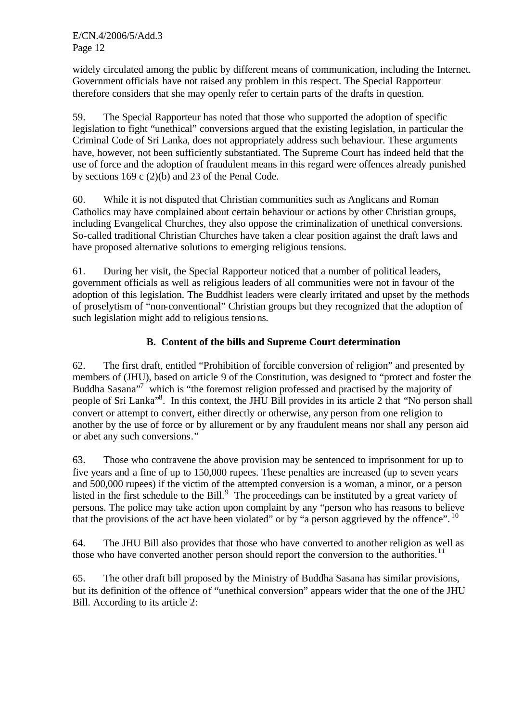widely circulated among the public by different means of communication, including the Internet. Government officials have not raised any problem in this respect. The Special Rapporteur therefore considers that she may openly refer to certain parts of the drafts in question.

59. The Special Rapporteur has noted that those who supported the adoption of specific legislation to fight "unethical" conversions argued that the existing legislation, in particular the Criminal Code of Sri Lanka, does not appropriately address such behaviour. These arguments have, however, not been sufficiently substantiated. The Supreme Court has indeed held that the use of force and the adoption of fraudulent means in this regard were offences already punished by sections 169 c (2)(b) and 23 of the Penal Code.

60. While it is not disputed that Christian communities such as Anglicans and Roman Catholics may have complained about certain behaviour or actions by other Christian groups, including Evangelical Churches, they also oppose the criminalization of unethical conversions. So-called traditional Christian Churches have taken a clear position against the draft laws and have proposed alternative solutions to emerging religious tensions.

61. During her visit, the Special Rapporteur noticed that a number of political leaders, government officials as well as religious leaders of all communities were not in favour of the adoption of this legislation. The Buddhist leaders were clearly irritated and upset by the methods of proselytism of "non-conventional" Christian groups but they recognized that the adoption of such legislation might add to religious tensions.

## **B. Content of the bills and Supreme Court determination**

62. The first draft, entitled "Prohibition of forcible conversion of religion" and presented by members of (JHU), based on article 9 of the Constitution, was designed to "protect and foster the Buddha Sasana<sup>37</sup> which is "the foremost religion professed and practised by the majority of people of Sri Lanka<sup>38</sup>. In this context, the JHU Bill provides in its article 2 that "No person shall convert or attempt to convert, either directly or otherwise, any person from one religion to another by the use of force or by allurement or by any fraudulent means nor shall any person aid or abet any such conversions."

63. Those who contravene the above provision may be sentenced to imprisonment for up to five years and a fine of up to 150,000 rupees. These penalties are increased (up to seven years and 500,000 rupees) if the victim of the attempted conversion is a woman, a minor, or a person listed in the first schedule to the Bill. $9$  The proceedings can be instituted by a great variety of persons. The police may take action upon complaint by any "person who has reasons to believe that the provisions of the act have been violated" or by "a person aggrieved by the offence".  $^{10}$ 

64. The JHU Bill also provides that those who have converted to another religion as well as those who have converted another person should report the conversion to the authorities.<sup>11</sup>

65. The other draft bill proposed by the Ministry of Buddha Sasana has similar provisions, but its definition of the offence of "unethical conversion" appears wider that the one of the JHU Bill. According to its article 2: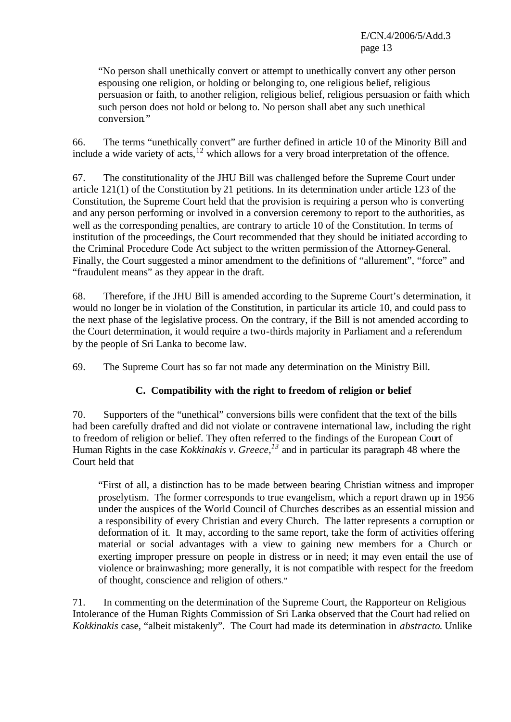"No person shall unethically convert or attempt to unethically convert any other person espousing one religion, or holding or belonging to, one religious belief, religious persuasion or faith, to another religion, religious belief, religious persuasion or faith which such person does not hold or belong to. No person shall abet any such unethical conversion."

66. The terms "unethically convert" are further defined in article 10 of the Minority Bill and include a wide variety of acts, $12$  which allows for a very broad interpretation of the offence.

67. The constitutionality of the JHU Bill was challenged before the Supreme Court under article 121(1) of the Constitution by 21 petitions. In its determination under article 123 of the Constitution, the Supreme Court held that the provision is requiring a person who is converting and any person performing or involved in a conversion ceremony to report to the authorities, as well as the corresponding penalties, are contrary to article 10 of the Constitution. In terms of institution of the proceedings, the Court recommended that they should be initiated according to the Criminal Procedure Code Act subject to the written permission of the Attorney-General. Finally, the Court suggested a minor amendment to the definitions of "allurement", "force" and "fraudulent means" as they appear in the draft.

68. Therefore, if the JHU Bill is amended according to the Supreme Court's determination, it would no longer be in violation of the Constitution, in particular its article 10, and could pass to the next phase of the legislative process. On the contrary, if the Bill is not amended according to the Court determination, it would require a two-thirds majority in Parliament and a referendum by the people of Sri Lanka to become law.

69. The Supreme Court has so far not made any determination on the Ministry Bill.

## **C. Compatibility with the right to freedom of religion or belief**

70. Supporters of the "unethical" conversions bills were confident that the text of the bills had been carefully drafted and did not violate or contravene international law, including the right to freedom of religion or belief. They often referred to the findings of the European Court of Human Rights in the case *Kokkinakis v. Greece,<sup>13</sup>* and in particular its paragraph 48 where the Court held that

"First of all, a distinction has to be made between bearing Christian witness and improper proselytism. The former corresponds to true evangelism, which a report drawn up in 1956 under the auspices of the World Council of Churches describes as an essential mission and a responsibility of every Christian and every Church. The latter represents a corruption or deformation of it. It may, according to the same report, take the form of activities offering material or social advantages with a view to gaining new members for a Church or exerting improper pressure on people in distress or in need; it may even entail the use of violence or brainwashing; more generally, it is not compatible with respect for the freedom of thought, conscience and religion of others."

71. In commenting on the determination of the Supreme Court, the Rapporteur on Religious Intolerance of the Human Rights Commission of Sri Lanka observed that the Court had relied on *Kokkinakis* case, "albeit mistakenly". The Court had made its determination in *abstracto*. Unlike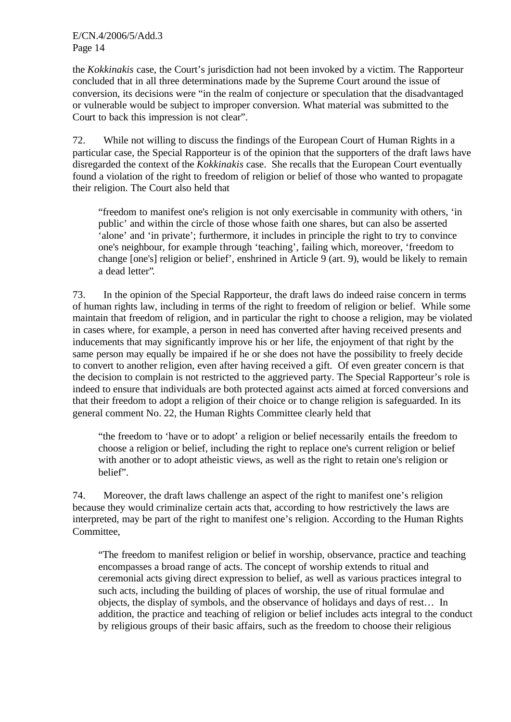the *Kokkinakis* case, the Court's jurisdiction had not been invoked by a victim. The Rapporteur concluded that in all three determinations made by the Supreme Court around the issue of conversion, its decisions were "in the realm of conjecture or speculation that the disadvantaged or vulnerable would be subject to improper conversion. What material was submitted to the Court to back this impression is not clear".

72. While not willing to discuss the findings of the European Court of Human Rights in a particular case, the Special Rapporteur is of the opinion that the supporters of the draft laws have disregarded the context of the *Kokkinakis* case. She recalls that the European Court eventually found a violation of the right to freedom of religion or belief of those who wanted to propagate their religion. The Court also held that

"freedom to manifest one's religion is not only exercisable in community with others, 'in public' and within the circle of those whose faith one shares, but can also be asserted 'alone' and 'in private'; furthermore, it includes in principle the right to try to convince one's neighbour, for example through 'teaching', failing which, moreover, 'freedom to change [one's] religion or belief', enshrined in Article 9 (art. 9), would be likely to remain a dead letter".

73. In the opinion of the Special Rapporteur, the draft laws do indeed raise concern in terms of human rights law, including in terms of the right to freedom of religion or belief. While some maintain that freedom of religion, and in particular the right to choose a religion, may be violated in cases where, for example, a person in need has converted after having received presents and inducements that may significantly improve his or her life, the enjoyment of that right by the same person may equally be impaired if he or she does not have the possibility to freely decide to convert to another religion, even after having received a gift. Of even greater concern is that the decision to complain is not restricted to the aggrieved party. The Special Rapporteur's role is indeed to ensure that individuals are both protected against acts aimed at forced conversions and that their freedom to adopt a religion of their choice or to change religion is safeguarded. In its general comment No. 22, the Human Rights Committee clearly held that

"the freedom to 'have or to adopt' a religion or belief necessarily entails the freedom to choose a religion or belief, including the right to replace one's current religion or belief with another or to adopt atheistic views, as well as the right to retain one's religion or belief".

74. Moreover, the draft laws challenge an aspect of the right to manifest one's religion because they would criminalize certain acts that, according to how restrictively the laws are interpreted, may be part of the right to manifest one's religion. According to the Human Rights Committee,

"The freedom to manifest religion or belief in worship, observance, practice and teaching encompasses a broad range of acts. The concept of worship extends to ritual and ceremonial acts giving direct expression to belief, as well as various practices integral to such acts, including the building of places of worship, the use of ritual formulae and objects, the display of symbols, and the observance of holidays and days of rest… In addition, the practice and teaching of religion or belief includes acts integral to the conduct by religious groups of their basic affairs, such as the freedom to choose their religious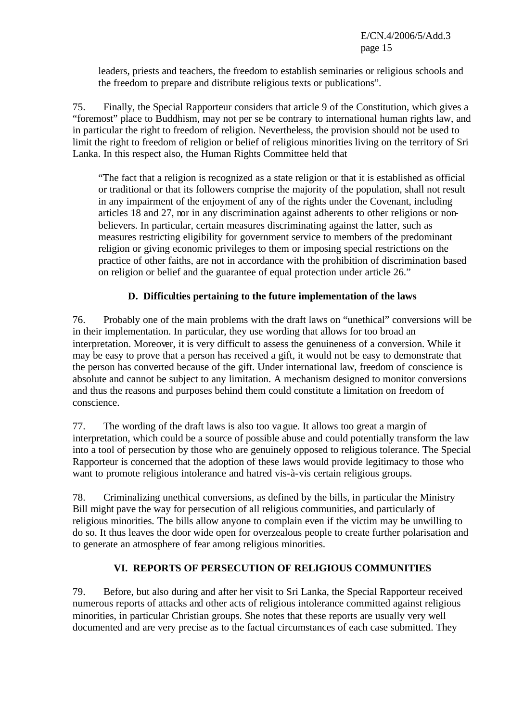leaders, priests and teachers, the freedom to establish seminaries or religious schools and the freedom to prepare and distribute religious texts or publications".

75. Finally, the Special Rapporteur considers that article 9 of the Constitution, which gives a "foremost" place to Buddhism, may not per se be contrary to international human rights law, and in particular the right to freedom of religion. Nevertheless, the provision should not be used to limit the right to freedom of religion or belief of religious minorities living on the territory of Sri Lanka. In this respect also, the Human Rights Committee held that

"The fact that a religion is recognized as a state religion or that it is established as official or traditional or that its followers comprise the majority of the population, shall not result in any impairment of the enjoyment of any of the rights under the Covenant, including articles 18 and 27, nor in any discrimination against adherents to other religions or nonbelievers. In particular, certain measures discriminating against the latter, such as measures restricting eligibility for government service to members of the predominant religion or giving economic privileges to them or imposing special restrictions on the practice of other faiths, are not in accordance with the prohibition of discrimination based on religion or belief and the guarantee of equal protection under article 26."

## **D. Difficulties pertaining to the future implementation of the laws**

76. Probably one of the main problems with the draft laws on "unethical" conversions will be in their implementation. In particular, they use wording that allows for too broad an interpretation. Moreover, it is very difficult to assess the genuineness of a conversion. While it may be easy to prove that a person has received a gift, it would not be easy to demonstrate that the person has converted because of the gift. Under international law, freedom of conscience is absolute and cannot be subject to any limitation. A mechanism designed to monitor conversions and thus the reasons and purposes behind them could constitute a limitation on freedom of conscience.

77. The wording of the draft laws is also too vague. It allows too great a margin of interpretation, which could be a source of possible abuse and could potentially transform the law into a tool of persecution by those who are genuinely opposed to religious tolerance. The Special Rapporteur is concerned that the adoption of these laws would provide legitimacy to those who want to promote religious intolerance and hatred vis-à-vis certain religious groups.

78. Criminalizing unethical conversions, as defined by the bills, in particular the Ministry Bill might pave the way for persecution of all religious communities, and particularly of religious minorities. The bills allow anyone to complain even if the victim may be unwilling to do so. It thus leaves the door wide open for overzealous people to create further polarisation and to generate an atmosphere of fear among religious minorities.

## **VI. REPORTS OF PERSECUTION OF RELIGIOUS COMMUNITIES**

79. Before, but also during and after her visit to Sri Lanka, the Special Rapporteur received numerous reports of attacks and other acts of religious intolerance committed against religious minorities, in particular Christian groups. She notes that these reports are usually very well documented and are very precise as to the factual circumstances of each case submitted. They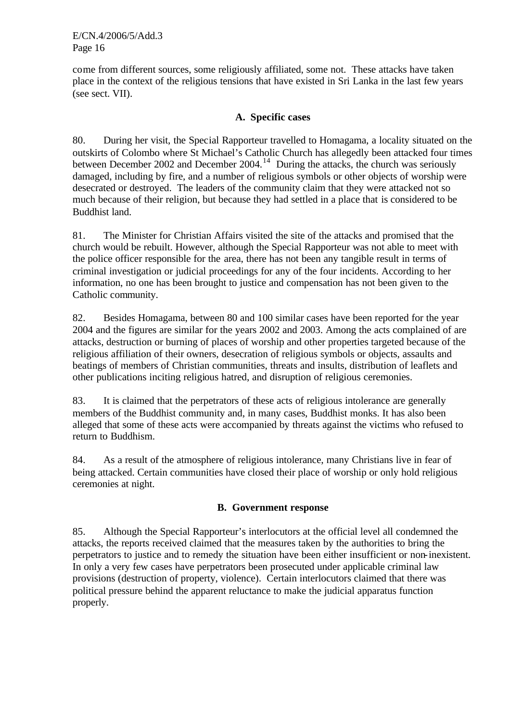come from different sources, some religiously affiliated, some not. These attacks have taken place in the context of the religious tensions that have existed in Sri Lanka in the last few years (see sect. VII).

## **A. Specific cases**

80. During her visit, the Special Rapporteur travelled to Homagama, a locality situated on the outskirts of Colombo where St Michael's Catholic Church has allegedly been attacked four times between December 2002 and December 2004.<sup>14</sup> During the attacks, the church was seriously damaged, including by fire, and a number of religious symbols or other objects of worship were desecrated or destroyed. The leaders of the community claim that they were attacked not so much because of their religion, but because they had settled in a place that is considered to be Buddhist land.

81. The Minister for Christian Affairs visited the site of the attacks and promised that the church would be rebuilt. However, although the Special Rapporteur was not able to meet with the police officer responsible for the area, there has not been any tangible result in terms of criminal investigation or judicial proceedings for any of the four incidents. According to her information, no one has been brought to justice and compensation has not been given to the Catholic community.

82. Besides Homagama, between 80 and 100 similar cases have been reported for the year 2004 and the figures are similar for the years 2002 and 2003. Among the acts complained of are attacks, destruction or burning of places of worship and other properties targeted because of the religious affiliation of their owners, desecration of religious symbols or objects, assaults and beatings of members of Christian communities, threats and insults, distribution of leaflets and other publications inciting religious hatred, and disruption of religious ceremonies.

83. It is claimed that the perpetrators of these acts of religious intolerance are generally members of the Buddhist community and, in many cases, Buddhist monks. It has also been alleged that some of these acts were accompanied by threats against the victims who refused to return to Buddhism.

84. As a result of the atmosphere of religious intolerance, many Christians live in fear of being attacked. Certain communities have closed their place of worship or only hold religious ceremonies at night.

## **B. Government response**

85. Although the Special Rapporteur's interlocutors at the official level all condemned the attacks, the reports received claimed that the measures taken by the authorities to bring the perpetrators to justice and to remedy the situation have been either insufficient or non-inexistent. In only a very few cases have perpetrators been prosecuted under applicable criminal law provisions (destruction of property, violence). Certain interlocutors claimed that there was political pressure behind the apparent reluctance to make the judicial apparatus function properly.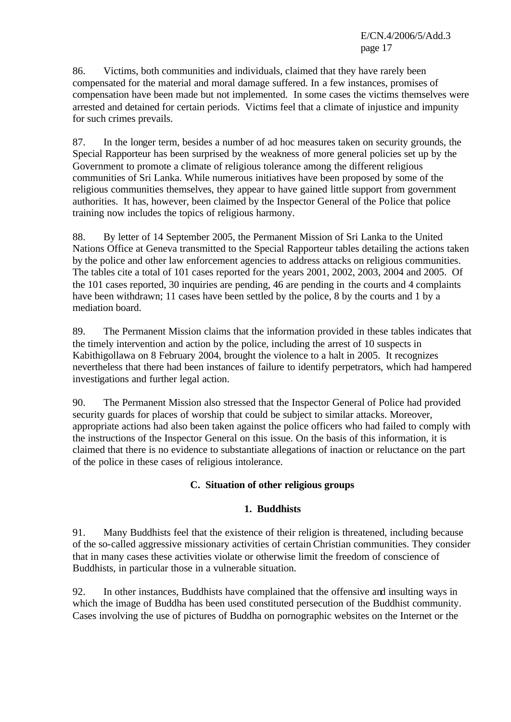86. Victims, both communities and individuals, claimed that they have rarely been compensated for the material and moral damage suffered. In a few instances, promises of compensation have been made but not implemented. In some cases the victims themselves were arrested and detained for certain periods. Victims feel that a climate of injustice and impunity for such crimes prevails.

87. In the longer term, besides a number of ad hoc measures taken on security grounds, the Special Rapporteur has been surprised by the weakness of more general policies set up by the Government to promote a climate of religious tolerance among the different religious communities of Sri Lanka. While numerous initiatives have been proposed by some of the religious communities themselves, they appear to have gained little support from government authorities. It has, however, been claimed by the Inspector General of the Police that police training now includes the topics of religious harmony.

88. By letter of 14 September 2005, the Permanent Mission of Sri Lanka to the United Nations Office at Geneva transmitted to the Special Rapporteur tables detailing the actions taken by the police and other law enforcement agencies to address attacks on religious communities. The tables cite a total of 101 cases reported for the years 2001, 2002, 2003, 2004 and 2005. Of the 101 cases reported, 30 inquiries are pending, 46 are pending in the courts and 4 complaints have been withdrawn; 11 cases have been settled by the police, 8 by the courts and 1 by a mediation board.

89. The Permanent Mission claims that the information provided in these tables indicates that the timely intervention and action by the police, including the arrest of 10 suspects in Kabithigollawa on 8 February 2004, brought the violence to a halt in 2005. It recognizes nevertheless that there had been instances of failure to identify perpetrators, which had hampered investigations and further legal action.

90. The Permanent Mission also stressed that the Inspector General of Police had provided security guards for places of worship that could be subject to similar attacks. Moreover, appropriate actions had also been taken against the police officers who had failed to comply with the instructions of the Inspector General on this issue. On the basis of this information, it is claimed that there is no evidence to substantiate allegations of inaction or reluctance on the part of the police in these cases of religious intolerance.

## **C. Situation of other religious groups**

## **1. Buddhists**

91. Many Buddhists feel that the existence of their religion is threatened, including because of the so-called aggressive missionary activities of certain Christian communities. They consider that in many cases these activities violate or otherwise limit the freedom of conscience of Buddhists, in particular those in a vulnerable situation.

92. In other instances, Buddhists have complained that the offensive and insulting ways in which the image of Buddha has been used constituted persecution of the Buddhist community. Cases involving the use of pictures of Buddha on pornographic websites on the Internet or the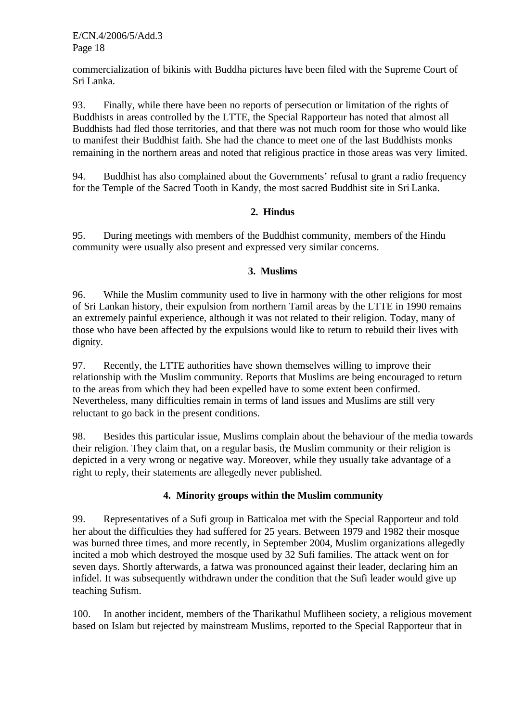commercialization of bikinis with Buddha pictures have been filed with the Supreme Court of Sri Lanka.

93. Finally, while there have been no reports of persecution or limitation of the rights of Buddhists in areas controlled by the LTTE, the Special Rapporteur has noted that almost all Buddhists had fled those territories, and that there was not much room for those who would like to manifest their Buddhist faith. She had the chance to meet one of the last Buddhists monks remaining in the northern areas and noted that religious practice in those areas was very limited.

94. Buddhist has also complained about the Governments' refusal to grant a radio frequency for the Temple of the Sacred Tooth in Kandy, the most sacred Buddhist site in Sri Lanka.

## **2. Hindus**

95. During meetings with members of the Buddhist community, members of the Hindu community were usually also present and expressed very similar concerns.

#### **3. Muslims**

96. While the Muslim community used to live in harmony with the other religions for most of Sri Lankan history, their expulsion from northern Tamil areas by the LTTE in 1990 remains an extremely painful experience, although it was not related to their religion. Today, many of those who have been affected by the expulsions would like to return to rebuild their lives with dignity.

97. Recently, the LTTE authorities have shown themselves willing to improve their relationship with the Muslim community. Reports that Muslims are being encouraged to return to the areas from which they had been expelled have to some extent been confirmed. Nevertheless, many difficulties remain in terms of land issues and Muslims are still very reluctant to go back in the present conditions.

98. Besides this particular issue, Muslims complain about the behaviour of the media towards their religion. They claim that, on a regular basis, the Muslim community or their religion is depicted in a very wrong or negative way. Moreover, while they usually take advantage of a right to reply, their statements are allegedly never published.

## **4. Minority groups within the Muslim community**

99. Representatives of a Sufi group in Batticaloa met with the Special Rapporteur and told her about the difficulties they had suffered for 25 years. Between 1979 and 1982 their mosque was burned three times, and more recently, in September 2004, Muslim organizations allegedly incited a mob which destroyed the mosque used by 32 Sufi families. The attack went on for seven days. Shortly afterwards, a fatwa was pronounced against their leader, declaring him an infidel. It was subsequently withdrawn under the condition that the Sufi leader would give up teaching Sufism.

100. In another incident, members of the Tharikathul Mufliheen society, a religious movement based on Islam but rejected by mainstream Muslims, reported to the Special Rapporteur that in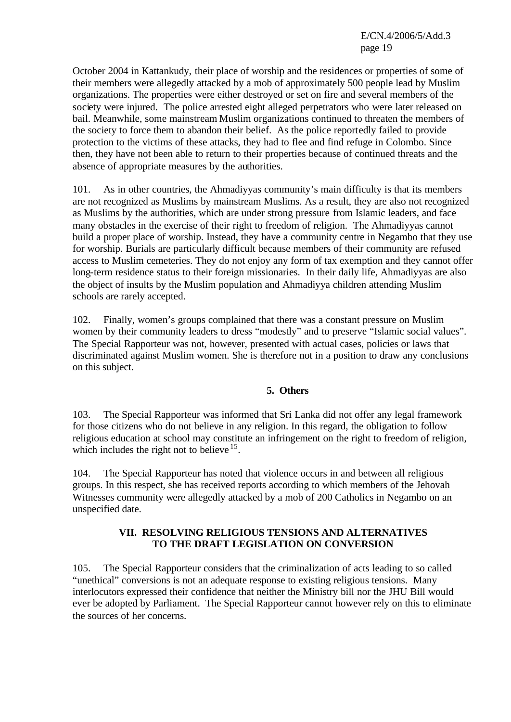October 2004 in Kattankudy, their place of worship and the residences or properties of some of their members were allegedly attacked by a mob of approximately 500 people lead by Muslim organizations. The properties were either destroyed or set on fire and several members of the society were injured. The police arrested eight alleged perpetrators who were later released on bail. Meanwhile, some mainstream Muslim organizations continued to threaten the members of the society to force them to abandon their belief. As the police reportedly failed to provide protection to the victims of these attacks, they had to flee and find refuge in Colombo. Since then, they have not been able to return to their properties because of continued threats and the absence of appropriate measures by the authorities.

101. As in other countries, the Ahmadiyyas community's main difficulty is that its members are not recognized as Muslims by mainstream Muslims. As a result, they are also not recognized as Muslims by the authorities, which are under strong pressure from Islamic leaders, and face many obstacles in the exercise of their right to freedom of religion. The Ahmadiyyas cannot build a proper place of worship. Instead, they have a community centre in Negambo that they use for worship. Burials are particularly difficult because members of their community are refused access to Muslim cemeteries. They do not enjoy any form of tax exemption and they cannot offer long-term residence status to their foreign missionaries. In their daily life, Ahmadiyyas are also the object of insults by the Muslim population and Ahmadiyya children attending Muslim schools are rarely accepted.

102. Finally, women's groups complained that there was a constant pressure on Muslim women by their community leaders to dress "modestly" and to preserve "Islamic social values". The Special Rapporteur was not, however, presented with actual cases, policies or laws that discriminated against Muslim women. She is therefore not in a position to draw any conclusions on this subject.

#### **5. Others**

103. The Special Rapporteur was informed that Sri Lanka did not offer any legal framework for those citizens who do not believe in any religion. In this regard, the obligation to follow religious education at school may constitute an infringement on the right to freedom of religion, which includes the right not to believe  $15$ .

104. The Special Rapporteur has noted that violence occurs in and between all religious groups. In this respect, she has received reports according to which members of the Jehovah Witnesses community were allegedly attacked by a mob of 200 Catholics in Negambo on an unspecified date.

#### **VII. RESOLVING RELIGIOUS TENSIONS AND ALTERNATIVES TO THE DRAFT LEGISLATION ON CONVERSION**

105. The Special Rapporteur considers that the criminalization of acts leading to so called "unethical" conversions is not an adequate response to existing religious tensions. Many interlocutors expressed their confidence that neither the Ministry bill nor the JHU Bill would ever be adopted by Parliament. The Special Rapporteur cannot however rely on this to eliminate the sources of her concerns.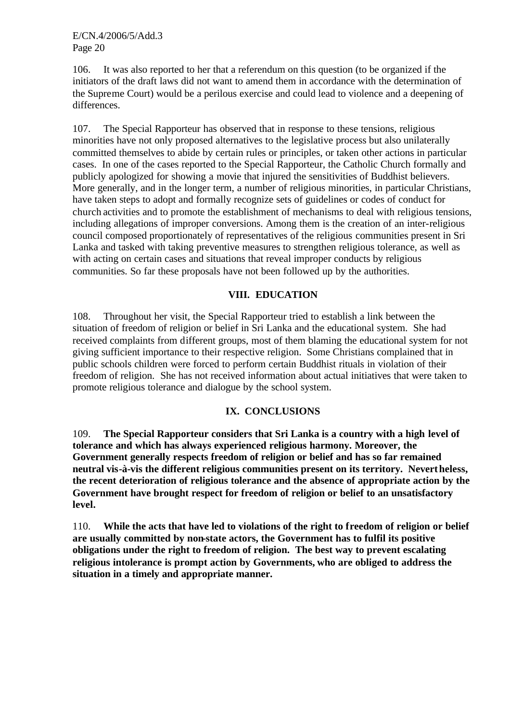106. It was also reported to her that a referendum on this question (to be organized if the initiators of the draft laws did not want to amend them in accordance with the determination of the Supreme Court) would be a perilous exercise and could lead to violence and a deepening of differences.

107. The Special Rapporteur has observed that in response to these tensions, religious minorities have not only proposed alternatives to the legislative process but also unilaterally committed themselves to abide by certain rules or principles, or taken other actions in particular cases. In one of the cases reported to the Special Rapporteur, the Catholic Church formally and publicly apologized for showing a movie that injured the sensitivities of Buddhist believers. More generally, and in the longer term, a number of religious minorities, in particular Christians, have taken steps to adopt and formally recognize sets of guidelines or codes of conduct for church activities and to promote the establishment of mechanisms to deal with religious tensions, including allegations of improper conversions. Among them is the creation of an inter-religious council composed proportionately of representatives of the religious communities present in Sri Lanka and tasked with taking preventive measures to strengthen religious tolerance, as well as with acting on certain cases and situations that reveal improper conducts by religious communities. So far these proposals have not been followed up by the authorities.

## **VIII. EDUCATION**

108. Throughout her visit, the Special Rapporteur tried to establish a link between the situation of freedom of religion or belief in Sri Lanka and the educational system. She had received complaints from different groups, most of them blaming the educational system for not giving sufficient importance to their respective religion. Some Christians complained that in public schools children were forced to perform certain Buddhist rituals in violation of their freedom of religion. She has not received information about actual initiatives that were taken to promote religious tolerance and dialogue by the school system.

#### **IX. CONCLUSIONS**

109. **The Special Rapporteur considers that Sri Lanka is a country with a high level of tolerance and which has always experienced religious harmony. Moreover, the Government generally respects freedom of religion or belief and has so far remained neutral vis-à-vis the different religious communities present on its territory. Nevertheless, the recent deterioration of religious tolerance and the absence of appropriate action by the Government have brought respect for freedom of religion or belief to an unsatisfactory level.** 

110. **While the acts that have led to violations of the right to freedom of religion or belief are usually committed by non-state actors, the Government has to fulfil its positive obligations under the right to freedom of religion. The best way to prevent escalating religious intolerance is prompt action by Governments, who are obliged to address the situation in a timely and appropriate manner.**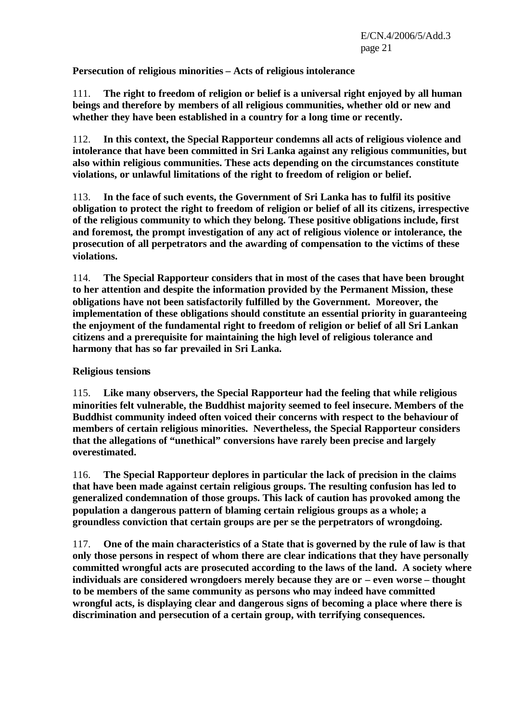**Persecution of religious minorities – Acts of religious intolerance**

111. **The right to freedom of religion or belief is a universal right enjoyed by all human beings and therefore by members of all religious communities, whether old or new and whether they have been established in a country for a long time or recently.**

112. **In this context, the Special Rapporteur condemns all acts of religious violence and intolerance that have been committed in Sri Lanka against any religious communities, but also within religious communities. These acts depending on the circumstances constitute violations, or unlawful limitations of the right to freedom of religion or belief.**

113. **In the face of such events, the Government of Sri Lanka has to fulfil its positive obligation to protect the right to freedom of religion or belief of all its citizens, irrespective of the religious community to which they belong. These positive obligations include, first and foremost, the prompt investigation of any act of religious violence or intolerance, the prosecution of all perpetrators and the awarding of compensation to the victims of these violations.** 

114. **The Special Rapporteur considers that in most of the cases that have been brought to her attention and despite the information provided by the Permanent Mission, these obligations have not been satisfactorily fulfilled by the Government. Moreover, the implementation of these obligations should constitute an essential priority in guaranteeing the enjoyment of the fundamental right to freedom of religion or belief of all Sri Lankan citizens and a prerequisite for maintaining the high level of religious tolerance and harmony that has so far prevailed in Sri Lanka.**

## **Religious tensions**

115. **Like many observers, the Special Rapporteur had the feeling that while religious minorities felt vulnerable, the Buddhist majority seemed to feel insecure. Members of the Buddhist community indeed often voiced their concerns with respect to the behaviour of members of certain religious minorities. Nevertheless, the Special Rapporteur considers that the allegations of "unethical" conversions have rarely been precise and largely overestimated.** 

116. **The Special Rapporteur deplores in particular the lack of precision in the claims that have been made against certain religious groups. The resulting confusion has led to generalized condemnation of those groups. This lack of caution has provoked among the population a dangerous pattern of blaming certain religious groups as a whole; a groundless conviction that certain groups are per se the perpetrators of wrongdoing.** 

117. **One of the main characteristics of a State that is governed by the rule of law is that only those persons in respect of whom there are clear indications that they have personally committed wrongful acts are prosecuted according to the laws of the land. A society where individuals are considered wrongdoers merely because they are or – even worse – thought to be members of the same community as persons who may indeed have committed wrongful acts, is displaying clear and dangerous signs of becoming a place where there is discrimination and persecution of a certain group, with terrifying consequences.**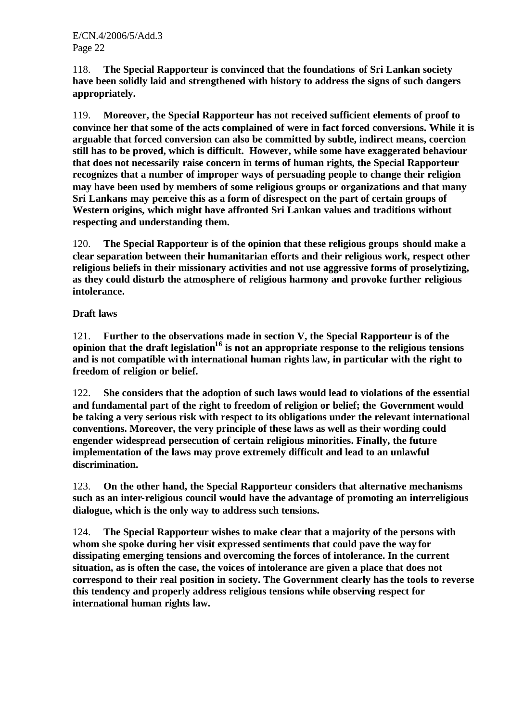118. **The Special Rapporteur is convinced that the foundations of Sri Lankan society have been solidly laid and strengthened with history to address the signs of such dangers appropriately.**

119. **Moreover, the Special Rapporteur has not received sufficient elements of proof to convince her that some of the acts complained of were in fact forced conversions. While it is arguable that forced conversion can also be committed by subtle, indirect means, coercion still has to be proved, which is difficult. However, while some have exaggerated behaviour that does not necessarily raise concern in terms of human rights, the Special Rapporteur recognizes that a number of improper ways of persuading people to change their religion may have been used by members of some religious groups or organizations and that many Sri Lankans may perceive this as a form of disrespect on the part of certain groups of Western origins, which might have affronted Sri Lankan values and traditions without respecting and understanding them.**

120. **The Special Rapporteur is of the opinion that these religious groups should make a clear separation between their humanitarian efforts and their religious work, respect other religious beliefs in their missionary activities and not use aggressive forms of proselytizing, as they could disturb the atmosphere of religious harmony and provoke further religious intolerance.**

#### **Draft laws**

121. **Further to the observations made in section V, the Special Rapporteur is of the opinion that the draft legislation<sup>16</sup> is not an appropriate response to the religious tensions and is not compatible with international human rights law, in particular with the right to freedom of religion or belief.**

122. **She considers that the adoption of such laws would lead to violations of the essential and fundamental part of the right to freedom of religion or belief; the Government would be taking a very serious risk with respect to its obligations under the relevant international conventions. Moreover, the very principle of these laws as well as their wording could engender widespread persecution of certain religious minorities. Finally, the future implementation of the laws may prove extremely difficult and lead to an unlawful discrimination.**

123. **On the other hand, the Special Rapporteur considers that alternative mechanisms such as an inter-religious council would have the advantage of promoting an interreligious dialogue, which is the only way to address such tensions.** 

124. **The Special Rapporteur wishes to make clear that a majority of the persons with whom she spoke during her visit expressed sentiments that could pave the way for dissipating emerging tensions and overcoming the forces of intolerance. In the current situation, as is often the case, the voices of intolerance are given a place that does not correspond to their real position in society. The Government clearly has the tools to reverse this tendency and properly address religious tensions while observing respect for international human rights law.**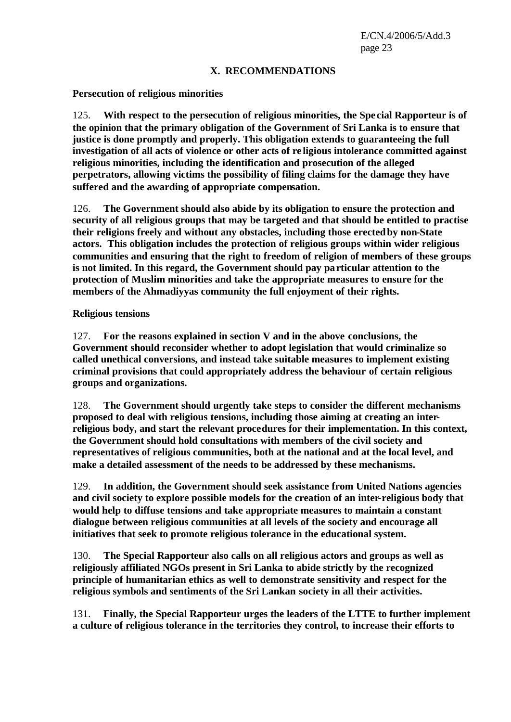#### **X. RECOMMENDATIONS**

#### **Persecution of religious minorities**

125. **With respect to the persecution of religious minorities, the Spe cial Rapporteur is of the opinion that the primary obligation of the Government of Sri Lanka is to ensure that justice is done promptly and properly. This obligation extends to guaranteeing the full investigation of all acts of violence or other acts of re ligious intolerance committed against religious minorities, including the identification and prosecution of the alleged perpetrators, allowing victims the possibility of filing claims for the damage they have suffered and the awarding of appropriate compensation.** 

126. **The Government should also abide by its obligation to ensure the protection and security of all religious groups that may be targeted and that should be entitled to practise their religions freely and without any obstacles, including those erected by non-State actors. This obligation includes the protection of religious groups within wider religious communities and ensuring that the right to freedom of religion of members of these groups is not limited. In this regard, the Government should pay particular attention to the protection of Muslim minorities and take the appropriate measures to ensure for the members of the Ahmadiyyas community the full enjoyment of their rights.**

#### **Religious tensions**

127. **For the reasons explained in section V and in the above conclusions, the Government should reconsider whether to adopt legislation that would criminalize so called unethical conversions, and instead take suitable measures to implement existing criminal provisions that could appropriately address the behaviour of certain religious groups and organizations.**

128. **The Government should urgently take steps to consider the different mechanisms proposed to deal with religious tensions, including those aiming at creating an interreligious body, and start the relevant procedures for their implementation. In this context, the Government should hold consultations with members of the civil society and representatives of religious communities, both at the national and at the local level, and make a detailed assessment of the needs to be addressed by these mechanisms.**

129. **In addition, the Government should seek assistance from United Nations agencies and civil society to explore possible models for the creation of an inter-religious body that would help to diffuse tensions and take appropriate measures to maintain a constant dialogue between religious communities at all levels of the society and encourage all initiatives that seek to promote religious tolerance in the educational system.**

130. **The Special Rapporteur also calls on all religious actors and groups as well as religiously affiliated NGOs present in Sri Lanka to abide strictly by the recognized principle of humanitarian ethics as well to demonstrate sensitivity and respect for the religious symbols and sentiments of the Sri Lankan society in all their activities.**

131. **Finally, the Special Rapporteur urges the leaders of the LTTE to further implement a culture of religious tolerance in the territories they control, to increase their efforts to**